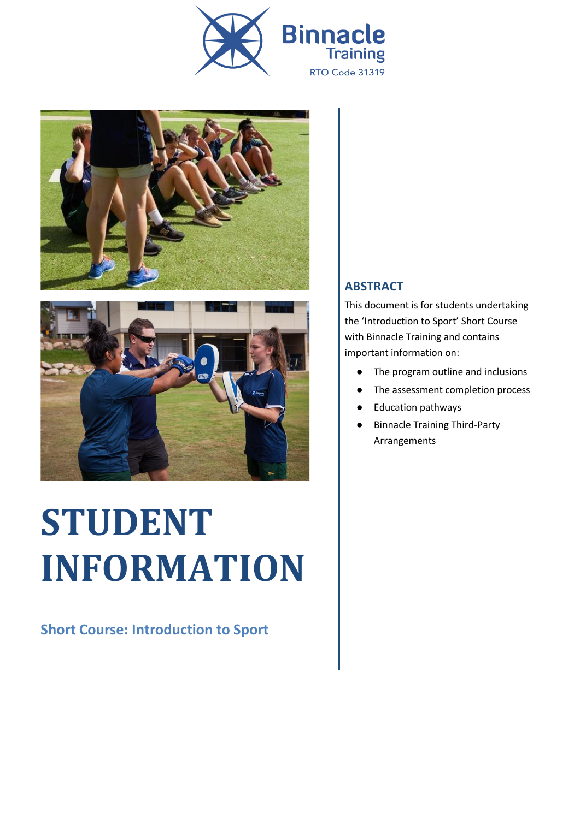





# **STUDENT INFORMATION**

**Short Course: Introduction to Sport**

#### **ABSTRACT**

This document is for students undertaking the 'Introduction to Sport' Short Course with Binnacle Training and contains important information on:

- The program outline and inclusions
- The assessment completion process
- **Education pathways**
- **Binnacle Training Third-Party** Arrangements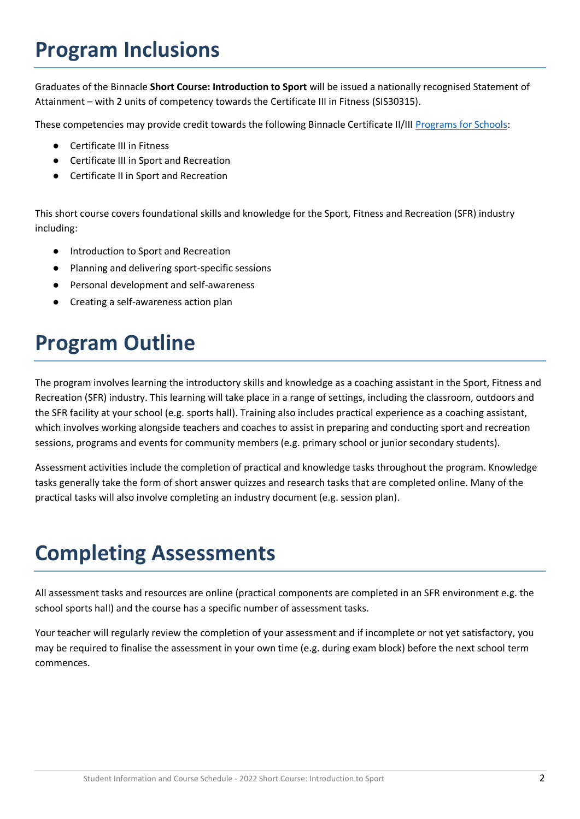# **Program Inclusions**

Graduates of the Binnacle **Short Course: Introduction to Sport** will be issued a nationally recognised Statement of Attainment – with 2 units of competency towards the Certificate III in Fitness (SIS30315).

These competencies may provide credit towards the following Binnacle Certificate II/III [Programs for Schools:](https://www.binnacletraining.com.au/for-schools/programs/)

- Certificate III in Fitness
- Certificate III in Sport and Recreation
- **Certificate II in Sport and Recreation**

This short course covers foundational skills and knowledge for the Sport, Fitness and Recreation (SFR) industry including:

- Introduction to Sport and Recreation
- Planning and delivering sport-specific sessions
- Personal development and self-awareness
- Creating a self-awareness action plan

# **Program Outline**

The program involves learning the introductory skills and knowledge as a coaching assistant in the Sport, Fitness and Recreation (SFR) industry. This learning will take place in a range of settings, including the classroom, outdoors and the SFR facility at your school (e.g. sports hall). Training also includes practical experience as a coaching assistant, which involves working alongside teachers and coaches to assist in preparing and conducting sport and recreation sessions, programs and events for community members (e.g. primary school or junior secondary students).

Assessment activities include the completion of practical and knowledge tasks throughout the program. Knowledge tasks generally take the form of short answer quizzes and research tasks that are completed online. Many of the practical tasks will also involve completing an industry document (e.g. session plan).

### **Completing Assessments**

All assessment tasks and resources are online (practical components are completed in an SFR environment e.g. the school sports hall) and the course has a specific number of assessment tasks.

Your teacher will regularly review the completion of your assessment and if incomplete or not yet satisfactory, you may be required to finalise the assessment in your own time (e.g. during exam block) before the next school term commences.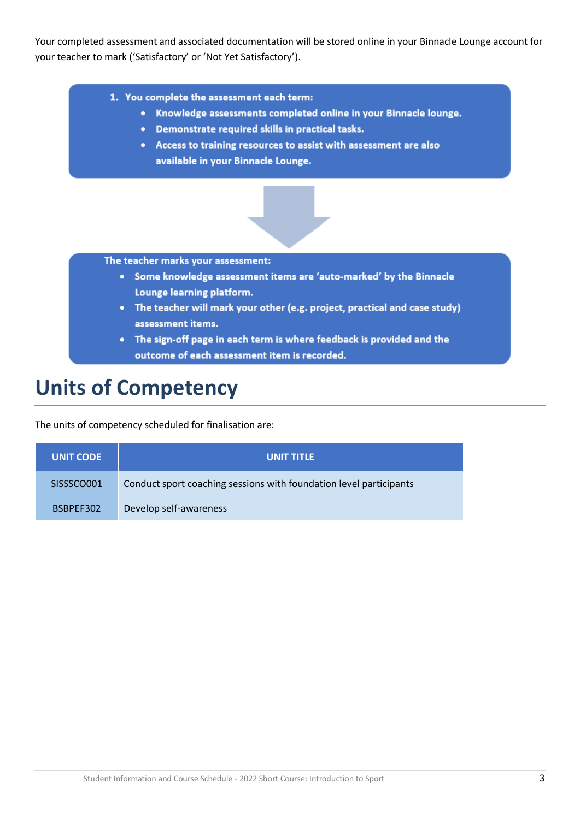Your completed assessment and associated documentation will be stored online in your Binnacle Lounge account for your teacher to mark ('Satisfactory' or 'Not Yet Satisfactory').

- 1. You complete the assessment each term:
	- Knowledge assessments completed online in your Binnacle lounge.
	- Demonstrate required skills in practical tasks.
	- Access to training resources to assist with assessment are also available in your Binnacle Lounge.



The teacher marks your assessment:

- Some knowledge assessment items are 'auto-marked' by the Binnacle Lounge learning platform.
- The teacher will mark your other (e.g. project, practical and case study) assessment items.
- The sign-off page in each term is where feedback is provided and the outcome of each assessment item is recorded.

#### **Units of Competency**

The units of competency scheduled for finalisation are:

| <b>UNIT CODE</b> | <b>UNIT TITLE</b>                                                  |
|------------------|--------------------------------------------------------------------|
| SISSSCO001       | Conduct sport coaching sessions with foundation level participants |
| BSBPEF302        | Develop self-awareness                                             |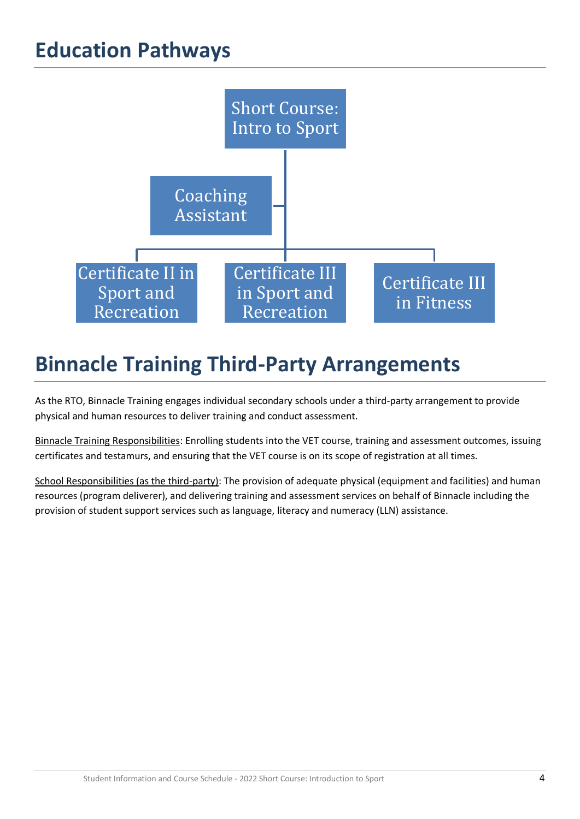## **Education Pathways**



# **Binnacle Training Third-Party Arrangements**

As the RTO, Binnacle Training engages individual secondary schools under a third-party arrangement to provide physical and human resources to deliver training and conduct assessment.

Binnacle Training Responsibilities: Enrolling students into the VET course, training and assessment outcomes, issuing certificates and testamurs, and ensuring that the VET course is on its scope of registration at all times.

School Responsibilities (as the third-party): The provision of adequate physical (equipment and facilities) and human resources (program deliverer), and delivering training and assessment services on behalf of Binnacle including the provision of student support services such as language, literacy and numeracy (LLN) assistance.